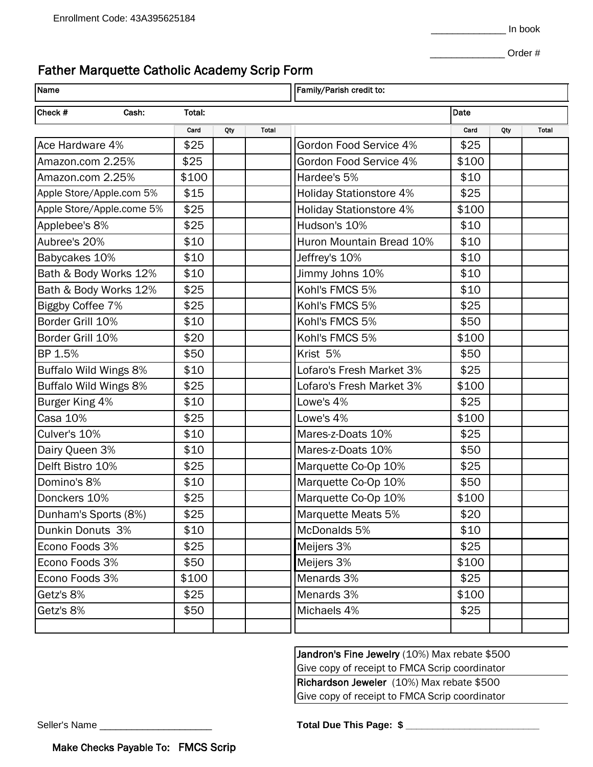## Father Marquette Catholic Academy Scrip Form

| Name                      |  |        |     |       | Family/Parish credit to:       |       |     |       |
|---------------------------|--|--------|-----|-------|--------------------------------|-------|-----|-------|
| Check #<br>Cash:          |  | Total: |     |       |                                | Date  |     |       |
|                           |  | Card   | Qty | Total |                                | Card  | Qty | Total |
| Ace Hardware 4%           |  | \$25   |     |       | Gordon Food Service 4%         | \$25  |     |       |
| Amazon.com 2.25%          |  | \$25   |     |       | Gordon Food Service 4%         | \$100 |     |       |
| Amazon.com 2.25%          |  | \$100  |     |       | Hardee's 5%                    | \$10  |     |       |
| Apple Store/Apple.com 5%  |  | \$15   |     |       | <b>Holiday Stationstore 4%</b> | \$25  |     |       |
| Apple Store/Apple.come 5% |  | \$25   |     |       | <b>Holiday Stationstore 4%</b> | \$100 |     |       |
| Applebee's 8%             |  | \$25   |     |       | Hudson's 10%                   | \$10  |     |       |
| Aubree's 20%              |  | \$10   |     |       | Huron Mountain Bread 10%       | \$10  |     |       |
| Babycakes 10%             |  | \$10   |     |       | Jeffrey's 10%                  | \$10  |     |       |
| Bath & Body Works 12%     |  | \$10   |     |       | Jimmy Johns 10%                | \$10  |     |       |
| Bath & Body Works 12%     |  | \$25   |     |       | Kohl's FMCS 5%                 | \$10  |     |       |
| Biggby Coffee 7%          |  | \$25   |     |       | Kohl's FMCS 5%                 | \$25  |     |       |
| Border Grill 10%          |  | \$10   |     |       | Kohl's FMCS 5%                 | \$50  |     |       |
| Border Grill 10%          |  | \$20   |     |       | Kohl's FMCS 5%                 | \$100 |     |       |
| BP 1.5%                   |  | \$50   |     |       | Krist 5%                       | \$50  |     |       |
| Buffalo Wild Wings 8%     |  | \$10   |     |       | Lofaro's Fresh Market 3%       | \$25  |     |       |
| Buffalo Wild Wings 8%     |  | \$25   |     |       | Lofaro's Fresh Market 3%       | \$100 |     |       |
| Burger King 4%            |  | \$10   |     |       | Lowe's 4%                      | \$25  |     |       |
| Casa 10%                  |  | \$25   |     |       | Lowe's 4%                      | \$100 |     |       |
| Culver's 10%              |  | \$10   |     |       | Mares-z-Doats 10%              | \$25  |     |       |
| Dairy Queen 3%            |  | \$10   |     |       | Mares-z-Doats 10%              | \$50  |     |       |
| Delft Bistro 10%          |  | \$25   |     |       | Marquette Co-Op 10%            | \$25  |     |       |
| Domino's 8%               |  | \$10   |     |       | Marquette Co-Op 10%            | \$50  |     |       |
| Donckers 10%              |  | \$25   |     |       | Marquette Co-Op 10%            | \$100 |     |       |
| Dunham's Sports (8%)      |  | \$25   |     |       | Marquette Meats 5%             | \$20  |     |       |
| Dunkin Donuts 3%          |  | \$10   |     |       | McDonalds 5%                   | \$10  |     |       |
| Econo Foods 3%            |  | \$25   |     |       | Meijers 3%                     | \$25  |     |       |
| Econo Foods 3%            |  | \$50   |     |       | Meijers 3%                     | \$100 |     |       |
| Econo Foods 3%            |  | \$100  |     |       | Menards 3%                     | \$25  |     |       |
| Getz's 8%                 |  | \$25   |     |       | Menards 3%                     | \$100 |     |       |
| Getz's 8%                 |  | \$50   |     |       | Michaels 4%                    | \$25  |     |       |
|                           |  |        |     |       |                                |       |     |       |

Jandron's Fine Jewelry (10%) Max rebate \$500 Give copy of receipt to FMCA Scrip coordinator Richardson Jeweler (10%) Max rebate \$500 Give copy of receipt to FMCA Scrip coordinator

Seller's Name \_\_\_\_\_\_\_\_\_\_\_\_\_\_\_\_\_\_\_\_\_ **Total Due This Page: \$ \_\_\_\_\_\_\_\_\_\_\_\_\_\_\_\_\_\_\_\_\_\_\_\_\_**

Make Checks Payable To: FMCS Scrip